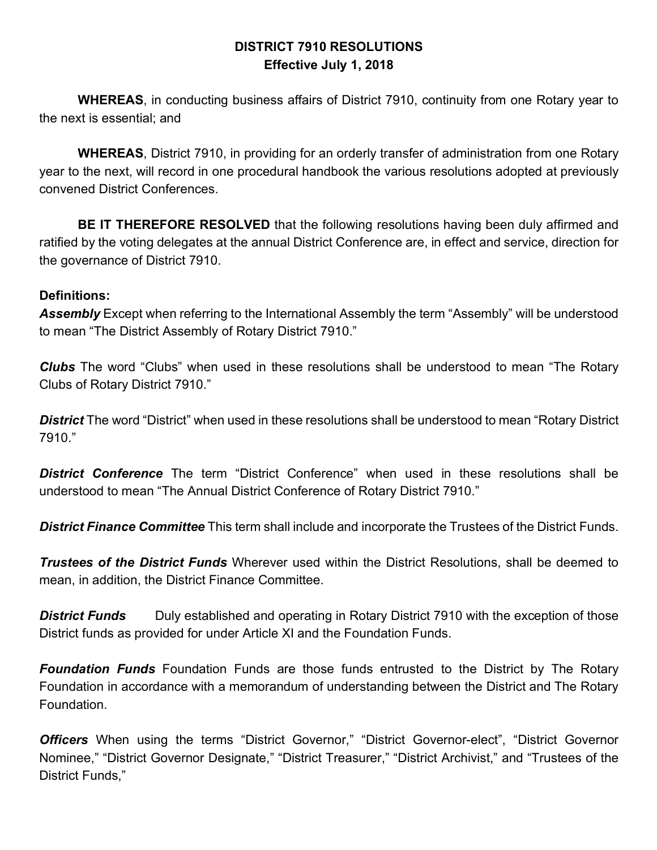#### **DISTRICT 7910 RESOLUTIONS Effective July 1, 2018**

**WHEREAS**, in conducting business affairs of District 7910, continuity from one Rotary year to the next is essential; and

**WHEREAS**, District 7910, in providing for an orderly transfer of administration from one Rotary year to the next, will record in one procedural handbook the various resolutions adopted at previously convened District Conferences.

**BE IT THEREFORE RESOLVED** that the following resolutions having been duly affirmed and ratified by the voting delegates at the annual District Conference are, in effect and service, direction for the governance of District 7910.

#### **Definitions:**

*Assembly* Except when referring to the International Assembly the term "Assembly" will be understood to mean "The District Assembly of Rotary District 7910."

*Clubs* The word "Clubs" when used in these resolutions shall be understood to mean "The Rotary Clubs of Rotary District 7910."

*District* The word "District" when used in these resolutions shall be understood to mean "Rotary District 7910."

*District Conference* The term "District Conference" when used in these resolutions shall be understood to mean "The Annual District Conference of Rotary District 7910."

*District Finance Committee* This term shall include and incorporate the Trustees of the District Funds.

*Trustees of the District Funds* Wherever used within the District Resolutions, shall be deemed to mean, in addition, the District Finance Committee.

**District Funds** Duly established and operating in Rotary District 7910 with the exception of those District funds as provided for under Article XI and the Foundation Funds.

*Foundation Funds* Foundation Funds are those funds entrusted to the District by The Rotary Foundation in accordance with a memorandum of understanding between the District and The Rotary Foundation.

*Officers* When using the terms "District Governor," "District Governor-elect", "District Governor Nominee," "District Governor Designate," "District Treasurer," "District Archivist," and "Trustees of the District Funds,"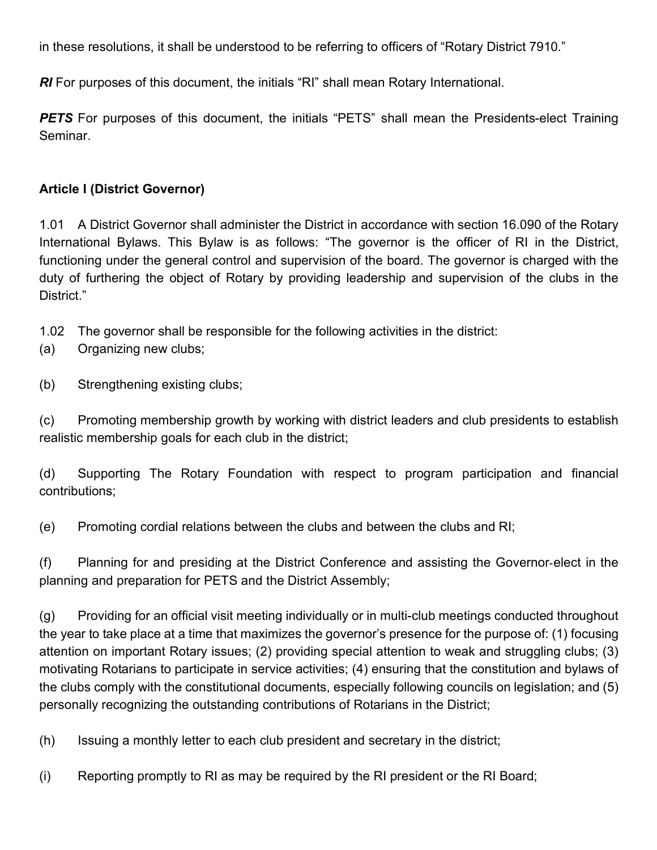in these resolutions, it shall be understood to be referring to officers of "Rotary District 7910."

*RI* For purposes of this document, the initials "RI" shall mean Rotary International.

**PETS** For purposes of this document, the initials "PETS" shall mean the Presidents-elect Training Seminar.

#### **Article I (District Governor)**

1.01 A District Governor shall administer the District in accordance with section 16.090 of the Rotary International Bylaws. This Bylaw is as follows: "The governor is the officer of RI in the District, functioning under the general control and supervision of the board. The governor is charged with the duty of furthering the object of Rotary by providing leadership and supervision of the clubs in the District."

1.02 The governor shall be responsible for the following activities in the district:

- (a) Organizing new clubs;
- (b) Strengthening existing clubs;

(c) Promoting membership growth by working with district leaders and club presidents to establish realistic membership goals for each club in the district;

(d) Supporting The Rotary Foundation with respect to program participation and financial contributions;

(e) Promoting cordial relations between the clubs and between the clubs and RI;

(f) Planning for and presiding at the District Conference and assisting the Governor-elect in the planning and preparation for PETS and the District Assembly;

(g) Providing for an official visit meeting individually or in multi-club meetings conducted throughout the year to take place at a time that maximizes the governor's presence for the purpose of: (1) focusing attention on important Rotary issues; (2) providing special attention to weak and struggling clubs; (3) motivating Rotarians to participate in service activities; (4) ensuring that the constitution and bylaws of the clubs comply with the constitutional documents, especially following councils on legislation; and (5) personally recognizing the outstanding contributions of Rotarians in the District;

(h) Issuing a monthly letter to each club president and secretary in the district;

(i) Reporting promptly to RI as may be required by the RI president or the RI Board;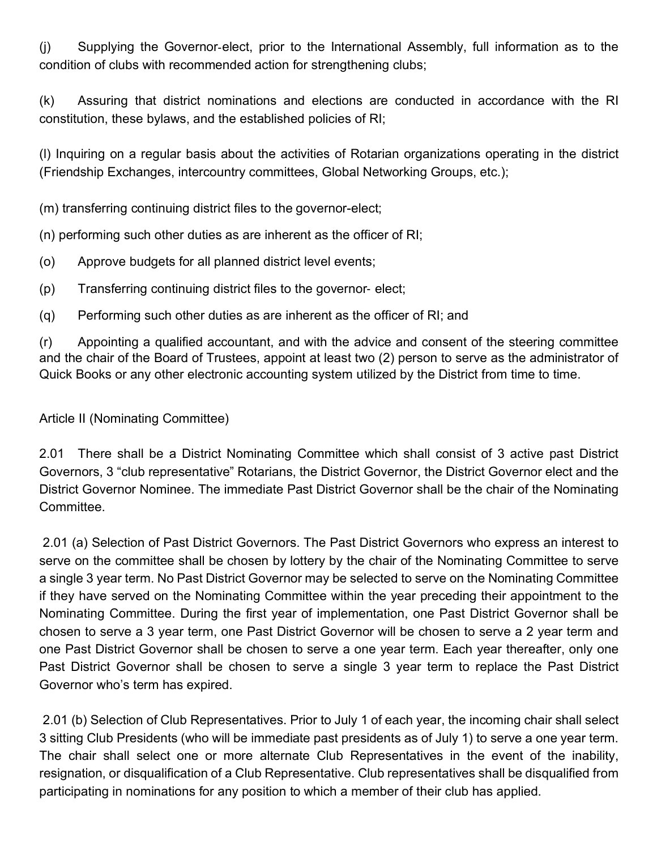(j) Supplying the Governor-elect, prior to the International Assembly, full information as to the condition of clubs with recommended action for strengthening clubs;

(k) Assuring that district nominations and elections are conducted in accordance with the RI constitution, these bylaws, and the established policies of RI;

(l) Inquiring on a regular basis about the activities of Rotarian organizations operating in the district (Friendship Exchanges, intercountry committees, Global Networking Groups, etc.);

(m) transferring continuing district files to the governor-elect;

(n) performing such other duties as are inherent as the officer of RI;

- (o) Approve budgets for all planned district level events;
- (p) Transferring continuing district files to the governor- elect;
- (q) Performing such other duties as are inherent as the officer of RI; and

(r) Appointing a qualified accountant, and with the advice and consent of the steering committee and the chair of the Board of Trustees, appoint at least two (2) person to serve as the administrator of Quick Books or any other electronic accounting system utilized by the District from time to time.

#### Article II (Nominating Committee)

2.01 There shall be a District Nominating Committee which shall consist of 3 active past District Governors, 3 "club representative" Rotarians, the District Governor, the District Governor elect and the District Governor Nominee. The immediate Past District Governor shall be the chair of the Nominating Committee.

2.01 (a) Selection of Past District Governors. The Past District Governors who express an interest to serve on the committee shall be chosen by lottery by the chair of the Nominating Committee to serve a single 3 year term. No Past District Governor may be selected to serve on the Nominating Committee if they have served on the Nominating Committee within the year preceding their appointment to the Nominating Committee. During the first year of implementation, one Past District Governor shall be chosen to serve a 3 year term, one Past District Governor will be chosen to serve a 2 year term and one Past District Governor shall be chosen to serve a one year term. Each year thereafter, only one Past District Governor shall be chosen to serve a single 3 year term to replace the Past District Governor who's term has expired.

2.01 (b) Selection of Club Representatives. Prior to July 1 of each year, the incoming chair shall select 3 sitting Club Presidents (who will be immediate past presidents as of July 1) to serve a one year term. The chair shall select one or more alternate Club Representatives in the event of the inability, resignation, or disqualification of a Club Representative. Club representatives shall be disqualified from participating in nominations for any position to which a member of their club has applied.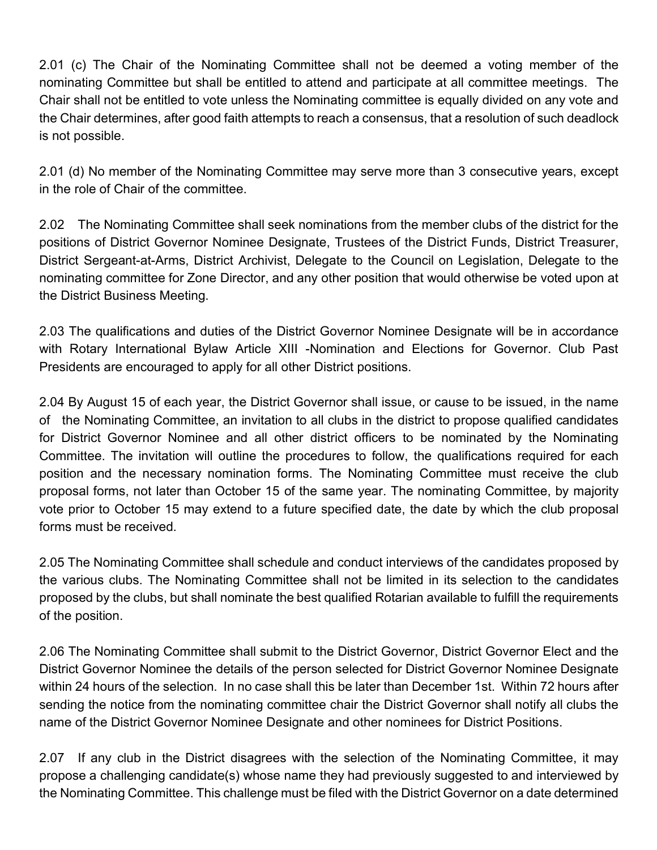2.01 (c) The Chair of the Nominating Committee shall not be deemed a voting member of the nominating Committee but shall be entitled to attend and participate at all committee meetings. The Chair shall not be entitled to vote unless the Nominating committee is equally divided on any vote and the Chair determines, after good faith attempts to reach a consensus, that a resolution of such deadlock is not possible.

2.01 (d) No member of the Nominating Committee may serve more than 3 consecutive years, except in the role of Chair of the committee.

2.02 The Nominating Committee shall seek nominations from the member clubs of the district for the positions of District Governor Nominee Designate, Trustees of the District Funds, District Treasurer, District Sergeant-at-Arms, District Archivist, Delegate to the Council on Legislation, Delegate to the nominating committee for Zone Director, and any other position that would otherwise be voted upon at the District Business Meeting.

2.03 The qualifications and duties of the District Governor Nominee Designate will be in accordance with Rotary International Bylaw Article XIII -Nomination and Elections for Governor. Club Past Presidents are encouraged to apply for all other District positions.

2.04 By August 15 of each year, the District Governor shall issue, or cause to be issued, in the name of the Nominating Committee, an invitation to all clubs in the district to propose qualified candidates for District Governor Nominee and all other district officers to be nominated by the Nominating Committee. The invitation will outline the procedures to follow, the qualifications required for each position and the necessary nomination forms. The Nominating Committee must receive the club proposal forms, not later than October 15 of the same year. The nominating Committee, by majority vote prior to October 15 may extend to a future specified date, the date by which the club proposal forms must be received.

2.05 The Nominating Committee shall schedule and conduct interviews of the candidates proposed by the various clubs. The Nominating Committee shall not be limited in its selection to the candidates proposed by the clubs, but shall nominate the best qualified Rotarian available to fulfill the requirements of the position.

2.06 The Nominating Committee shall submit to the District Governor, District Governor Elect and the District Governor Nominee the details of the person selected for District Governor Nominee Designate within 24 hours of the selection. In no case shall this be later than December 1st. Within 72 hours after sending the notice from the nominating committee chair the District Governor shall notify all clubs the name of the District Governor Nominee Designate and other nominees for District Positions.

2.07 If any club in the District disagrees with the selection of the Nominating Committee, it may propose a challenging candidate(s) whose name they had previously suggested to and interviewed by the Nominating Committee. This challenge must be filed with the District Governor on a date determined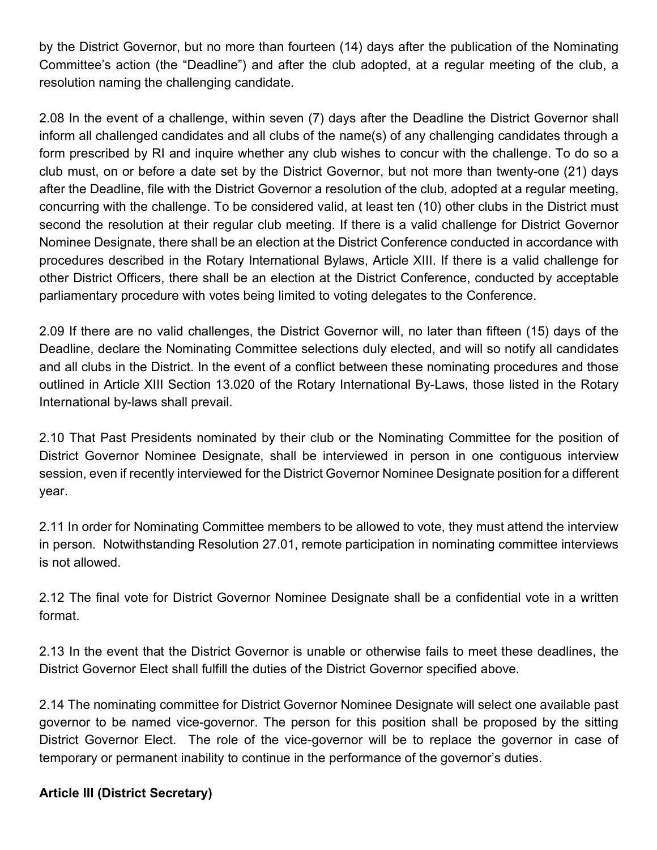by the District Governor, but no more than fourteen (14) days after the publication of the Nominating Committee's action (the "Deadline") and after the club adopted, at a regular meeting of the club, a resolution naming the challenging candidate.

2.08 In the event of a challenge, within seven (7) days after the Deadline the District Governor shall inform all challenged candidates and all clubs of the name(s) of any challenging candidates through a form prescribed by RI and inquire whether any club wishes to concur with the challenge. To do so a club must, on or before a date set by the District Governor, but not more than twenty-one (21) days after the Deadline, file with the District Governor a resolution of the club, adopted at a regular meeting, concurring with the challenge. To be considered valid, at least ten (10) other clubs in the District must second the resolution at their regular club meeting. If there is a valid challenge for District Governor Nominee Designate, there shall be an election at the District Conference conducted in accordance with procedures described in the Rotary International Bylaws, Article XIII. If there is a valid challenge for other District Officers, there shall be an election at the District Conference, conducted by acceptable parliamentary procedure with votes being limited to voting delegates to the Conference.

2.09 If there are no valid challenges, the District Governor will, no later than fifteen (15) days of the Deadline, declare the Nominating Committee selections duly elected, and will so notify all candidates and all clubs in the District. In the event of a conflict between these nominating procedures and those outlined in Article XIII Section 13.020 of the Rotary International By-Laws, those listed in the Rotary International by-laws shall prevail.

2.10 That Past Presidents nominated by their club or the Nominating Committee for the position of District Governor Nominee Designate, shall be interviewed in person in one contiguous interview session, even if recently interviewed for the District Governor Nominee Designate position for a different year.

2.11 In order for Nominating Committee members to be allowed to vote, they must attend the interview in person. Notwithstanding Resolution 27.01, remote participation in nominating committee interviews is not allowed.

2.12 The final vote for District Governor Nominee Designate shall be a confidential vote in a written format.

2.13 In the event that the District Governor is unable or otherwise fails to meet these deadlines, the District Governor Elect shall fulfill the duties of the District Governor specified above.

2.14 The nominating committee for District Governor Nominee Designate will select one available past governor to be named vice-governor. The person for this position shall be proposed by the sitting District Governor Elect. The role of the vice-governor will be to replace the governor in case of temporary or permanent inability to continue in the performance of the governor's duties.

## **Article III (District Secretary)**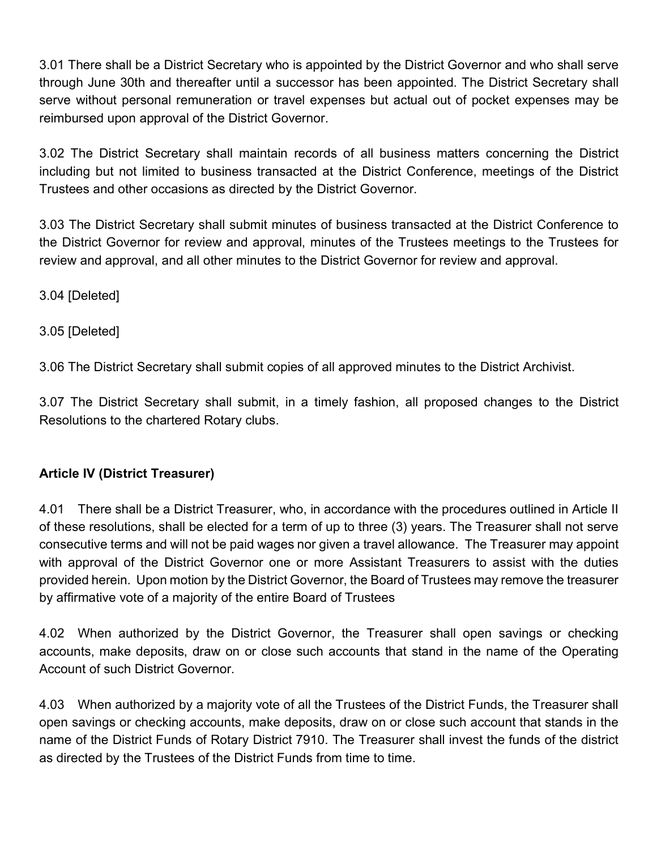3.01 There shall be a District Secretary who is appointed by the District Governor and who shall serve through June 30th and thereafter until a successor has been appointed. The District Secretary shall serve without personal remuneration or travel expenses but actual out of pocket expenses may be reimbursed upon approval of the District Governor.

3.02 The District Secretary shall maintain records of all business matters concerning the District including but not limited to business transacted at the District Conference, meetings of the District Trustees and other occasions as directed by the District Governor.

3.03 The District Secretary shall submit minutes of business transacted at the District Conference to the District Governor for review and approval, minutes of the Trustees meetings to the Trustees for review and approval, and all other minutes to the District Governor for review and approval.

3.04 [Deleted]

3.05 [Deleted]

3.06 The District Secretary shall submit copies of all approved minutes to the District Archivist.

3.07 The District Secretary shall submit, in a timely fashion, all proposed changes to the District Resolutions to the chartered Rotary clubs.

## **Article IV (District Treasurer)**

4.01 There shall be a District Treasurer, who, in accordance with the procedures outlined in Article II of these resolutions, shall be elected for a term of up to three (3) years. The Treasurer shall not serve consecutive terms and will not be paid wages nor given a travel allowance. The Treasurer may appoint with approval of the District Governor one or more Assistant Treasurers to assist with the duties provided herein. Upon motion by the District Governor, the Board of Trustees may remove the treasurer by affirmative vote of a majority of the entire Board of Trustees

4.02 When authorized by the District Governor, the Treasurer shall open savings or checking accounts, make deposits, draw on or close such accounts that stand in the name of the Operating Account of such District Governor.

4.03 When authorized by a majority vote of all the Trustees of the District Funds, the Treasurer shall open savings or checking accounts, make deposits, draw on or close such account that stands in the name of the District Funds of Rotary District 7910. The Treasurer shall invest the funds of the district as directed by the Trustees of the District Funds from time to time.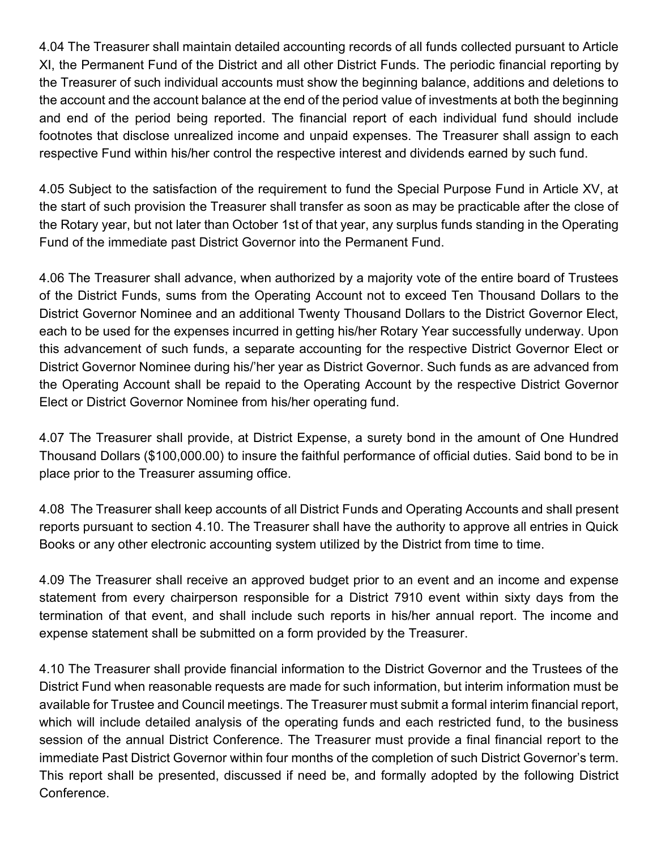4.04 The Treasurer shall maintain detailed accounting records of all funds collected pursuant to Article XI, the Permanent Fund of the District and all other District Funds. The periodic financial reporting by the Treasurer of such individual accounts must show the beginning balance, additions and deletions to the account and the account balance at the end of the period value of investments at both the beginning and end of the period being reported. The financial report of each individual fund should include footnotes that disclose unrealized income and unpaid expenses. The Treasurer shall assign to each respective Fund within his/her control the respective interest and dividends earned by such fund.

4.05 Subject to the satisfaction of the requirement to fund the Special Purpose Fund in Article XV, at the start of such provision the Treasurer shall transfer as soon as may be practicable after the close of the Rotary year, but not later than October 1st of that year, any surplus funds standing in the Operating Fund of the immediate past District Governor into the Permanent Fund.

4.06 The Treasurer shall advance, when authorized by a majority vote of the entire board of Trustees of the District Funds, sums from the Operating Account not to exceed Ten Thousand Dollars to the District Governor Nominee and an additional Twenty Thousand Dollars to the District Governor Elect, each to be used for the expenses incurred in getting his/her Rotary Year successfully underway. Upon this advancement of such funds, a separate accounting for the respective District Governor Elect or District Governor Nominee during his/'her year as District Governor. Such funds as are advanced from the Operating Account shall be repaid to the Operating Account by the respective District Governor Elect or District Governor Nominee from his/her operating fund.

4.07 The Treasurer shall provide, at District Expense, a surety bond in the amount of One Hundred Thousand Dollars (\$100,000.00) to insure the faithful performance of official duties. Said bond to be in place prior to the Treasurer assuming office.

4.08 The Treasurer shall keep accounts of all District Funds and Operating Accounts and shall present reports pursuant to section 4.10. The Treasurer shall have the authority to approve all entries in Quick Books or any other electronic accounting system utilized by the District from time to time.

4.09 The Treasurer shall receive an approved budget prior to an event and an income and expense statement from every chairperson responsible for a District 7910 event within sixty days from the termination of that event, and shall include such reports in his/her annual report. The income and expense statement shall be submitted on a form provided by the Treasurer.

4.10 The Treasurer shall provide financial information to the District Governor and the Trustees of the District Fund when reasonable requests are made for such information, but interim information must be available for Trustee and Council meetings. The Treasurer must submit a formal interim financial report, which will include detailed analysis of the operating funds and each restricted fund, to the business session of the annual District Conference. The Treasurer must provide a final financial report to the immediate Past District Governor within four months of the completion of such District Governor's term. This report shall be presented, discussed if need be, and formally adopted by the following District Conference.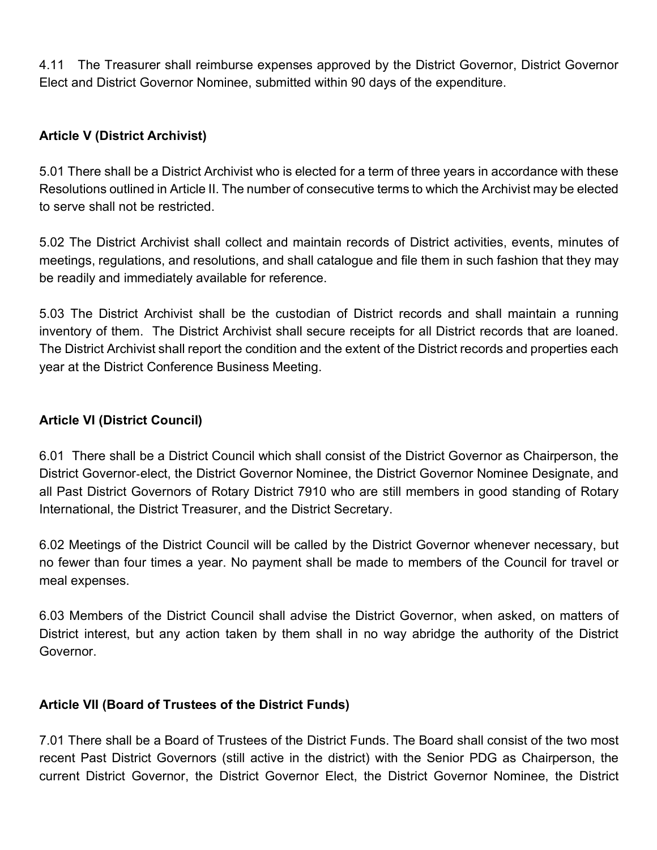4.11 The Treasurer shall reimburse expenses approved by the District Governor, District Governor Elect and District Governor Nominee, submitted within 90 days of the expenditure.

#### **Article V (District Archivist)**

5.01 There shall be a District Archivist who is elected for a term of three years in accordance with these Resolutions outlined in Article II. The number of consecutive terms to which the Archivist may be elected to serve shall not be restricted.

5.02 The District Archivist shall collect and maintain records of District activities, events, minutes of meetings, regulations, and resolutions, and shall catalogue and file them in such fashion that they may be readily and immediately available for reference.

5.03 The District Archivist shall be the custodian of District records and shall maintain a running inventory of them. The District Archivist shall secure receipts for all District records that are loaned. The District Archivist shall report the condition and the extent of the District records and properties each year at the District Conference Business Meeting.

#### **Article VI (District Council)**

6.01 There shall be a District Council which shall consist of the District Governor as Chairperson, the District Governor-elect, the District Governor Nominee, the District Governor Nominee Designate, and all Past District Governors of Rotary District 7910 who are still members in good standing of Rotary International, the District Treasurer, and the District Secretary.

6.02 Meetings of the District Council will be called by the District Governor whenever necessary, but no fewer than four times a year. No payment shall be made to members of the Council for travel or meal expenses.

6.03 Members of the District Council shall advise the District Governor, when asked, on matters of District interest, but any action taken by them shall in no way abridge the authority of the District Governor.

## **Article VII (Board of Trustees of the District Funds)**

7.01 There shall be a Board of Trustees of the District Funds. The Board shall consist of the two most recent Past District Governors (still active in the district) with the Senior PDG as Chairperson, the current District Governor, the District Governor Elect, the District Governor Nominee, the District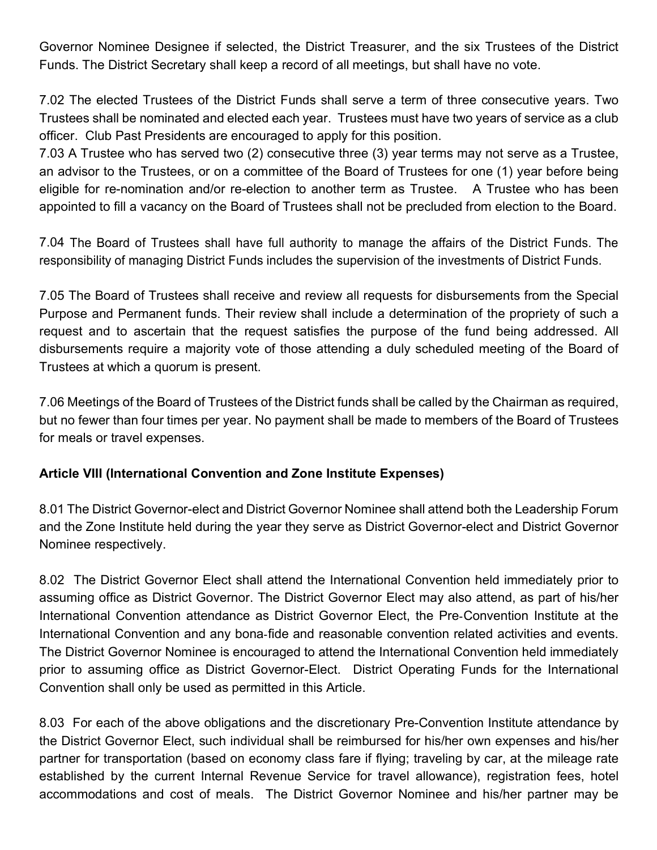Governor Nominee Designee if selected, the District Treasurer, and the six Trustees of the District Funds. The District Secretary shall keep a record of all meetings, but shall have no vote.

7.02 The elected Trustees of the District Funds shall serve a term of three consecutive years. Two Trustees shall be nominated and elected each year. Trustees must have two years of service as a club officer. Club Past Presidents are encouraged to apply for this position.

7.03 A Trustee who has served two (2) consecutive three (3) year terms may not serve as a Trustee, an advisor to the Trustees, or on a committee of the Board of Trustees for one (1) year before being eligible for re-nomination and/or re-election to another term as Trustee. A Trustee who has been appointed to fill a vacancy on the Board of Trustees shall not be precluded from election to the Board.

7.04 The Board of Trustees shall have full authority to manage the affairs of the District Funds. The responsibility of managing District Funds includes the supervision of the investments of District Funds.

7.05 The Board of Trustees shall receive and review all requests for disbursements from the Special Purpose and Permanent funds. Their review shall include a determination of the propriety of such a request and to ascertain that the request satisfies the purpose of the fund being addressed. All disbursements require a majority vote of those attending a duly scheduled meeting of the Board of Trustees at which a quorum is present.

7.06 Meetings of the Board of Trustees of the District funds shall be called by the Chairman as required, but no fewer than four times per year. No payment shall be made to members of the Board of Trustees for meals or travel expenses.

## **Article VIII (International Convention and Zone Institute Expenses)**

8.01 The District Governor-elect and District Governor Nominee shall attend both the Leadership Forum and the Zone Institute held during the year they serve as District Governor-elect and District Governor Nominee respectively.

8.02 The District Governor Elect shall attend the International Convention held immediately prior to assuming office as District Governor. The District Governor Elect may also attend, as part of his/her International Convention attendance as District Governor Elect, the Pre-Convention Institute at the International Convention and any bona-fide and reasonable convention related activities and events. The District Governor Nominee is encouraged to attend the International Convention held immediately prior to assuming office as District Governor-Elect. District Operating Funds for the International Convention shall only be used as permitted in this Article.

8.03 For each of the above obligations and the discretionary Pre-Convention Institute attendance by the District Governor Elect, such individual shall be reimbursed for his/her own expenses and his/her partner for transportation (based on economy class fare if flying; traveling by car, at the mileage rate established by the current Internal Revenue Service for travel allowance), registration fees, hotel accommodations and cost of meals. The District Governor Nominee and his/her partner may be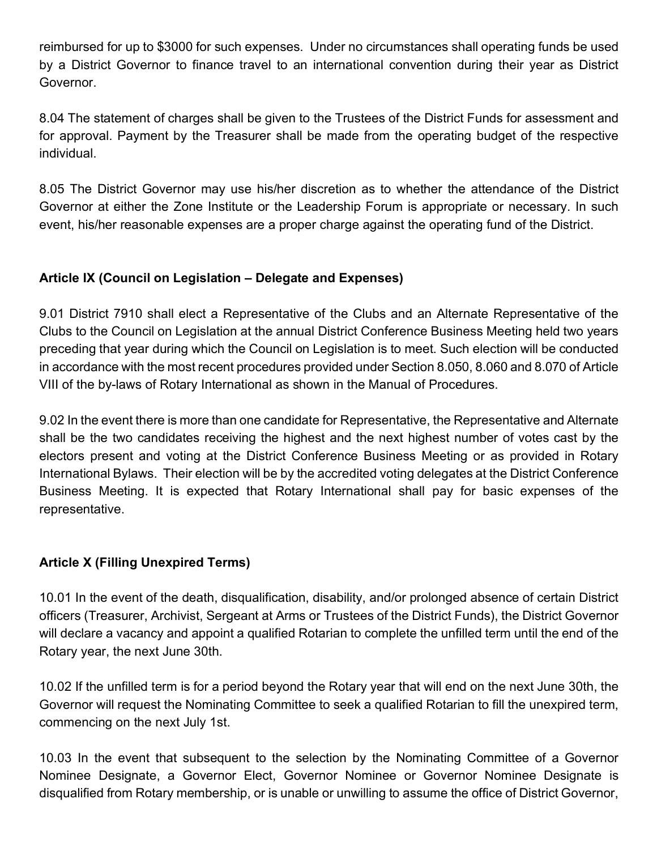reimbursed for up to \$3000 for such expenses. Under no circumstances shall operating funds be used by a District Governor to finance travel to an international convention during their year as District Governor.

8.04 The statement of charges shall be given to the Trustees of the District Funds for assessment and for approval. Payment by the Treasurer shall be made from the operating budget of the respective individual.

8.05 The District Governor may use his/her discretion as to whether the attendance of the District Governor at either the Zone Institute or the Leadership Forum is appropriate or necessary. In such event, his/her reasonable expenses are a proper charge against the operating fund of the District.

## **Article IX (Council on Legislation – Delegate and Expenses)**

9.01 District 7910 shall elect a Representative of the Clubs and an Alternate Representative of the Clubs to the Council on Legislation at the annual District Conference Business Meeting held two years preceding that year during which the Council on Legislation is to meet. Such election will be conducted in accordance with the most recent procedures provided under Section 8.050, 8.060 and 8.070 of Article VIII of the by-laws of Rotary International as shown in the Manual of Procedures.

9.02 In the event there is more than one candidate for Representative, the Representative and Alternate shall be the two candidates receiving the highest and the next highest number of votes cast by the electors present and voting at the District Conference Business Meeting or as provided in Rotary International Bylaws. Their election will be by the accredited voting delegates at the District Conference Business Meeting. It is expected that Rotary International shall pay for basic expenses of the representative.

# **Article X (Filling Unexpired Terms)**

10.01 In the event of the death, disqualification, disability, and/or prolonged absence of certain District officers (Treasurer, Archivist, Sergeant at Arms or Trustees of the District Funds), the District Governor will declare a vacancy and appoint a qualified Rotarian to complete the unfilled term until the end of the Rotary year, the next June 30th.

10.02 If the unfilled term is for a period beyond the Rotary year that will end on the next June 30th, the Governor will request the Nominating Committee to seek a qualified Rotarian to fill the unexpired term, commencing on the next July 1st.

10.03 In the event that subsequent to the selection by the Nominating Committee of a Governor Nominee Designate, a Governor Elect, Governor Nominee or Governor Nominee Designate is disqualified from Rotary membership, or is unable or unwilling to assume the office of District Governor,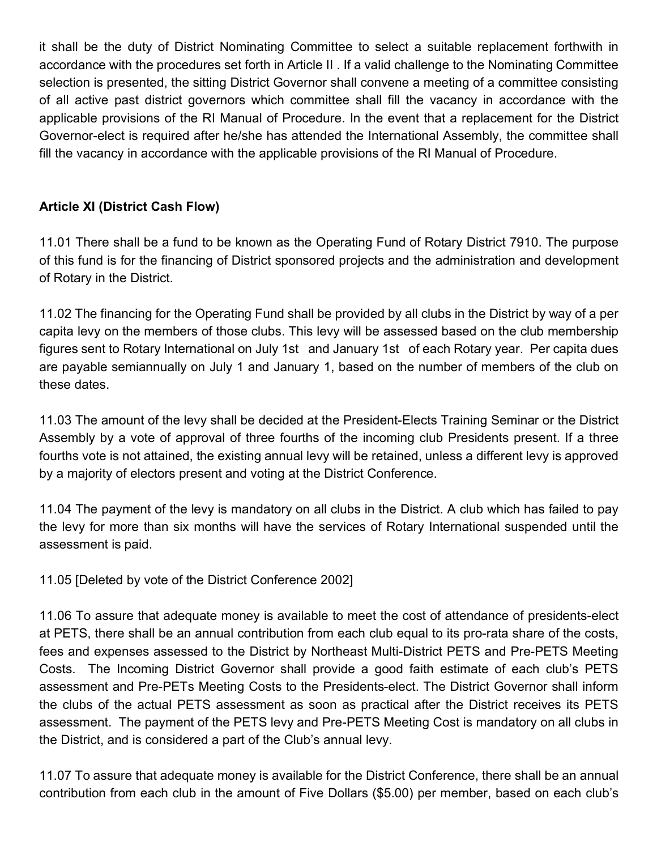it shall be the duty of District Nominating Committee to select a suitable replacement forthwith in accordance with the procedures set forth in Article II . If a valid challenge to the Nominating Committee selection is presented, the sitting District Governor shall convene a meeting of a committee consisting of all active past district governors which committee shall fill the vacancy in accordance with the applicable provisions of the RI Manual of Procedure. In the event that a replacement for the District Governor-elect is required after he/she has attended the International Assembly, the committee shall fill the vacancy in accordance with the applicable provisions of the RI Manual of Procedure.

# **Article XI (District Cash Flow)**

11.01 There shall be a fund to be known as the Operating Fund of Rotary District 7910. The purpose of this fund is for the financing of District sponsored projects and the administration and development of Rotary in the District.

11.02 The financing for the Operating Fund shall be provided by all clubs in the District by way of a per capita levy on the members of those clubs. This levy will be assessed based on the club membership figures sent to Rotary International on July 1st and January 1st of each Rotary year. Per capita dues are payable semiannually on July 1 and January 1, based on the number of members of the club on these dates.

11.03 The amount of the levy shall be decided at the President-Elects Training Seminar or the District Assembly by a vote of approval of three fourths of the incoming club Presidents present. If a three fourths vote is not attained, the existing annual levy will be retained, unless a different levy is approved by a majority of electors present and voting at the District Conference.

11.04 The payment of the levy is mandatory on all clubs in the District. A club which has failed to pay the levy for more than six months will have the services of Rotary International suspended until the assessment is paid.

11.05 [Deleted by vote of the District Conference 2002]

11.06 To assure that adequate money is available to meet the cost of attendance of presidents-elect at PETS, there shall be an annual contribution from each club equal to its pro-rata share of the costs, fees and expenses assessed to the District by Northeast Multi-District PETS and Pre-PETS Meeting Costs. The Incoming District Governor shall provide a good faith estimate of each club's PETS assessment and Pre-PETs Meeting Costs to the Presidents-elect. The District Governor shall inform the clubs of the actual PETS assessment as soon as practical after the District receives its PETS assessment. The payment of the PETS levy and Pre-PETS Meeting Cost is mandatory on all clubs in the District, and is considered a part of the Club's annual levy.

11.07 To assure that adequate money is available for the District Conference, there shall be an annual contribution from each club in the amount of Five Dollars (\$5.00) per member, based on each club's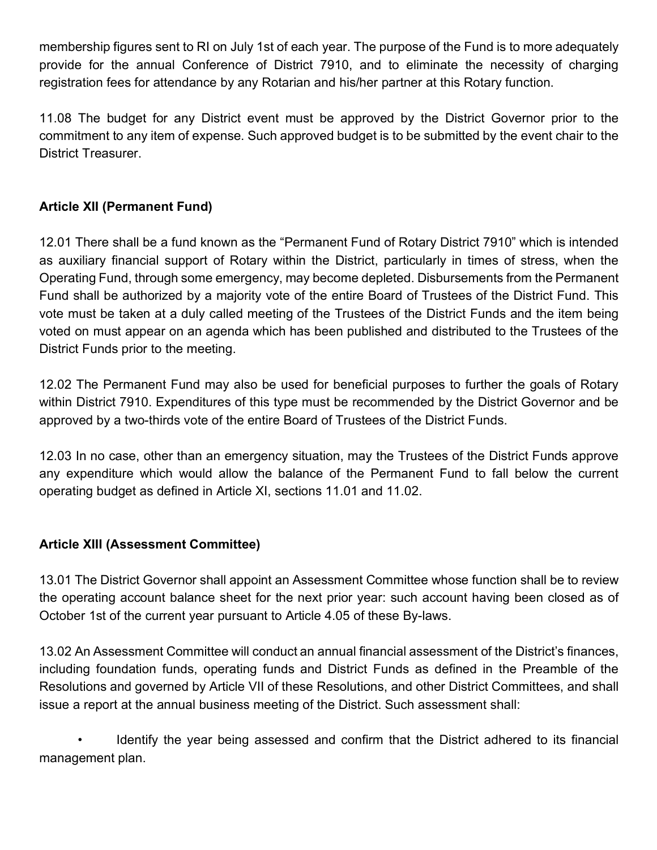membership figures sent to RI on July 1st of each year. The purpose of the Fund is to more adequately provide for the annual Conference of District 7910, and to eliminate the necessity of charging registration fees for attendance by any Rotarian and his/her partner at this Rotary function.

11.08 The budget for any District event must be approved by the District Governor prior to the commitment to any item of expense. Such approved budget is to be submitted by the event chair to the District Treasurer.

# **Article XII (Permanent Fund)**

12.01 There shall be a fund known as the "Permanent Fund of Rotary District 7910" which is intended as auxiliary financial support of Rotary within the District, particularly in times of stress, when the Operating Fund, through some emergency, may become depleted. Disbursements from the Permanent Fund shall be authorized by a majority vote of the entire Board of Trustees of the District Fund. This vote must be taken at a duly called meeting of the Trustees of the District Funds and the item being voted on must appear on an agenda which has been published and distributed to the Trustees of the District Funds prior to the meeting.

12.02 The Permanent Fund may also be used for beneficial purposes to further the goals of Rotary within District 7910. Expenditures of this type must be recommended by the District Governor and be approved by a two-thirds vote of the entire Board of Trustees of the District Funds.

12.03 In no case, other than an emergency situation, may the Trustees of the District Funds approve any expenditure which would allow the balance of the Permanent Fund to fall below the current operating budget as defined in Article XI, sections 11.01 and 11.02.

## **Article XIII (Assessment Committee)**

13.01 The District Governor shall appoint an Assessment Committee whose function shall be to review the operating account balance sheet for the next prior year: such account having been closed as of October 1st of the current year pursuant to Article 4.05 of these By-laws.

13.02 An Assessment Committee will conduct an annual financial assessment of the District's finances, including foundation funds, operating funds and District Funds as defined in the Preamble of the Resolutions and governed by Article VII of these Resolutions, and other District Committees, and shall issue a report at the annual business meeting of the District. Such assessment shall:

• Identify the year being assessed and confirm that the District adhered to its financial management plan.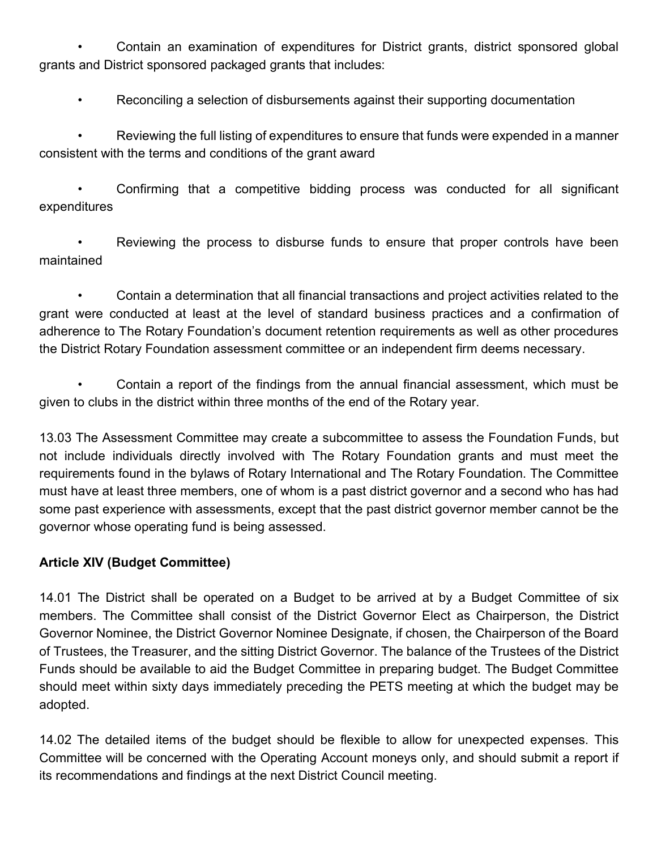• Contain an examination of expenditures for District grants, district sponsored global grants and District sponsored packaged grants that includes:

• Reconciling a selection of disbursements against their supporting documentation

• Reviewing the full listing of expenditures to ensure that funds were expended in a manner consistent with the terms and conditions of the grant award

• Confirming that a competitive bidding process was conducted for all significant expenditures

Reviewing the process to disburse funds to ensure that proper controls have been maintained

• Contain a determination that all financial transactions and project activities related to the grant were conducted at least at the level of standard business practices and a confirmation of adherence to The Rotary Foundation's document retention requirements as well as other procedures the District Rotary Foundation assessment committee or an independent firm deems necessary.

• Contain a report of the findings from the annual financial assessment, which must be given to clubs in the district within three months of the end of the Rotary year.

13.03 The Assessment Committee may create a subcommittee to assess the Foundation Funds, but not include individuals directly involved with The Rotary Foundation grants and must meet the requirements found in the bylaws of Rotary International and The Rotary Foundation. The Committee must have at least three members, one of whom is a past district governor and a second who has had some past experience with assessments, except that the past district governor member cannot be the governor whose operating fund is being assessed.

# **Article XIV (Budget Committee)**

14.01 The District shall be operated on a Budget to be arrived at by a Budget Committee of six members. The Committee shall consist of the District Governor Elect as Chairperson, the District Governor Nominee, the District Governor Nominee Designate, if chosen, the Chairperson of the Board of Trustees, the Treasurer, and the sitting District Governor. The balance of the Trustees of the District Funds should be available to aid the Budget Committee in preparing budget. The Budget Committee should meet within sixty days immediately preceding the PETS meeting at which the budget may be adopted.

14.02 The detailed items of the budget should be flexible to allow for unexpected expenses. This Committee will be concerned with the Operating Account moneys only, and should submit a report if its recommendations and findings at the next District Council meeting.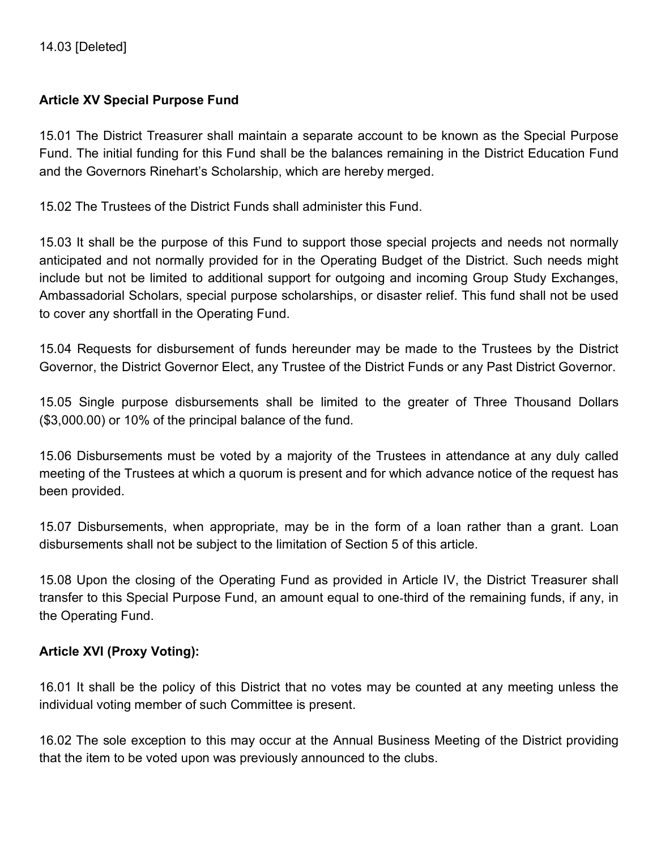#### **Article XV Special Purpose Fund**

15.01 The District Treasurer shall maintain a separate account to be known as the Special Purpose Fund. The initial funding for this Fund shall be the balances remaining in the District Education Fund and the Governors Rinehart's Scholarship, which are hereby merged.

15.02 The Trustees of the District Funds shall administer this Fund.

15.03 It shall be the purpose of this Fund to support those special projects and needs not normally anticipated and not normally provided for in the Operating Budget of the District. Such needs might include but not be limited to additional support for outgoing and incoming Group Study Exchanges, Ambassadorial Scholars, special purpose scholarships, or disaster relief. This fund shall not be used to cover any shortfall in the Operating Fund.

15.04 Requests for disbursement of funds hereunder may be made to the Trustees by the District Governor, the District Governor Elect, any Trustee of the District Funds or any Past District Governor.

15.05 Single purpose disbursements shall be limited to the greater of Three Thousand Dollars (\$3,000.00) or 10% of the principal balance of the fund.

15.06 Disbursements must be voted by a majority of the Trustees in attendance at any duly called meeting of the Trustees at which a quorum is present and for which advance notice of the request has been provided.

15.07 Disbursements, when appropriate, may be in the form of a loan rather than a grant. Loan disbursements shall not be subject to the limitation of Section 5 of this article.

15.08 Upon the closing of the Operating Fund as provided in Article IV, the District Treasurer shall transfer to this Special Purpose Fund, an amount equal to one-third of the remaining funds, if any, in the Operating Fund.

#### **Article XVI (Proxy Voting):**

16.01 It shall be the policy of this District that no votes may be counted at any meeting unless the individual voting member of such Committee is present.

16.02 The sole exception to this may occur at the Annual Business Meeting of the District providing that the item to be voted upon was previously announced to the clubs.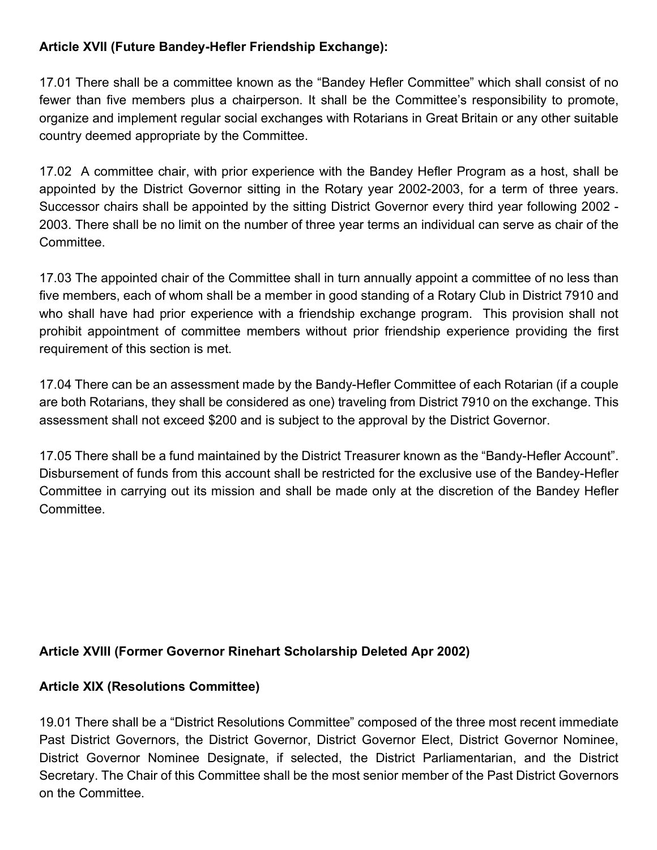## **Article XVII (Future Bandey-Hefler Friendship Exchange):**

17.01 There shall be a committee known as the "Bandey Hefler Committee" which shall consist of no fewer than five members plus a chairperson. It shall be the Committee's responsibility to promote, organize and implement regular social exchanges with Rotarians in Great Britain or any other suitable country deemed appropriate by the Committee.

17.02 A committee chair, with prior experience with the Bandey Hefler Program as a host, shall be appointed by the District Governor sitting in the Rotary year 2002-2003, for a term of three years. Successor chairs shall be appointed by the sitting District Governor every third year following 2002 - 2003. There shall be no limit on the number of three year terms an individual can serve as chair of the Committee.

17.03 The appointed chair of the Committee shall in turn annually appoint a committee of no less than five members, each of whom shall be a member in good standing of a Rotary Club in District 7910 and who shall have had prior experience with a friendship exchange program. This provision shall not prohibit appointment of committee members without prior friendship experience providing the first requirement of this section is met.

17.04 There can be an assessment made by the Bandy-Hefler Committee of each Rotarian (if a couple are both Rotarians, they shall be considered as one) traveling from District 7910 on the exchange. This assessment shall not exceed \$200 and is subject to the approval by the District Governor.

17.05 There shall be a fund maintained by the District Treasurer known as the "Bandy-Hefler Account". Disbursement of funds from this account shall be restricted for the exclusive use of the Bandey-Hefler Committee in carrying out its mission and shall be made only at the discretion of the Bandey Hefler Committee.

## **Article XVIII (Former Governor Rinehart Scholarship Deleted Apr 2002)**

## **Article XIX (Resolutions Committee)**

19.01 There shall be a "District Resolutions Committee" composed of the three most recent immediate Past District Governors, the District Governor, District Governor Elect, District Governor Nominee, District Governor Nominee Designate, if selected, the District Parliamentarian, and the District Secretary. The Chair of this Committee shall be the most senior member of the Past District Governors on the Committee.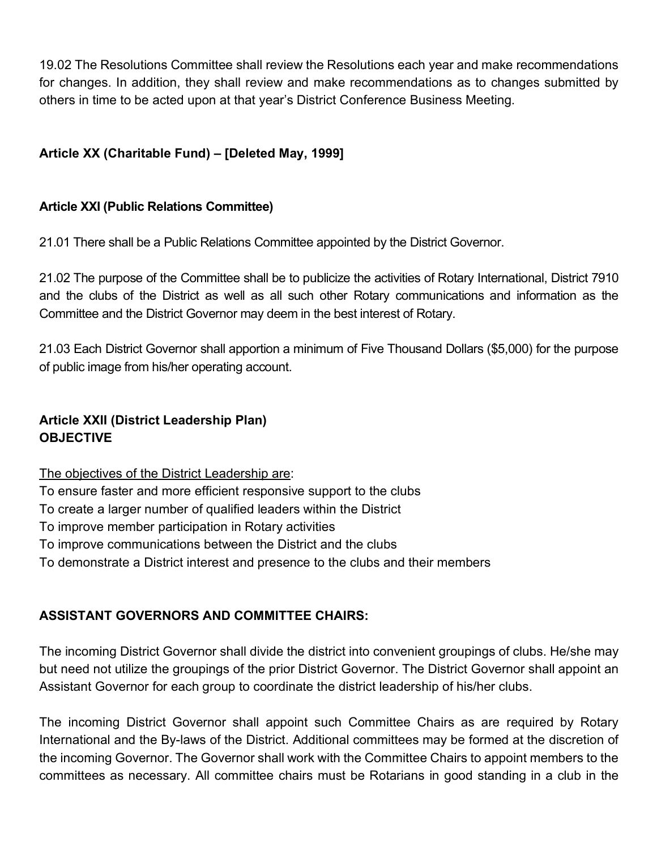19.02 The Resolutions Committee shall review the Resolutions each year and make recommendations for changes. In addition, they shall review and make recommendations as to changes submitted by others in time to be acted upon at that year's District Conference Business Meeting.

# **Article XX (Charitable Fund) – [Deleted May, 1999]**

#### **Article XXI (Public Relations Committee)**

21.01 There shall be a Public Relations Committee appointed by the District Governor.

21.02 The purpose of the Committee shall be to publicize the activities of Rotary International, District 7910 and the clubs of the District as well as all such other Rotary communications and information as the Committee and the District Governor may deem in the best interest of Rotary.

21.03 Each District Governor shall apportion a minimum of Five Thousand Dollars (\$5,000) for the purpose of public image from his/her operating account.

# **Article XXII (District Leadership Plan) OBJECTIVE**

The objectives of the District Leadership are: To ensure faster and more efficient responsive support to the clubs To create a larger number of qualified leaders within the District To improve member participation in Rotary activities To improve communications between the District and the clubs To demonstrate a District interest and presence to the clubs and their members

## **ASSISTANT GOVERNORS AND COMMITTEE CHAIRS:**

The incoming District Governor shall divide the district into convenient groupings of clubs. He/she may but need not utilize the groupings of the prior District Governor. The District Governor shall appoint an Assistant Governor for each group to coordinate the district leadership of his/her clubs.

The incoming District Governor shall appoint such Committee Chairs as are required by Rotary International and the By-laws of the District. Additional committees may be formed at the discretion of the incoming Governor. The Governor shall work with the Committee Chairs to appoint members to the committees as necessary. All committee chairs must be Rotarians in good standing in a club in the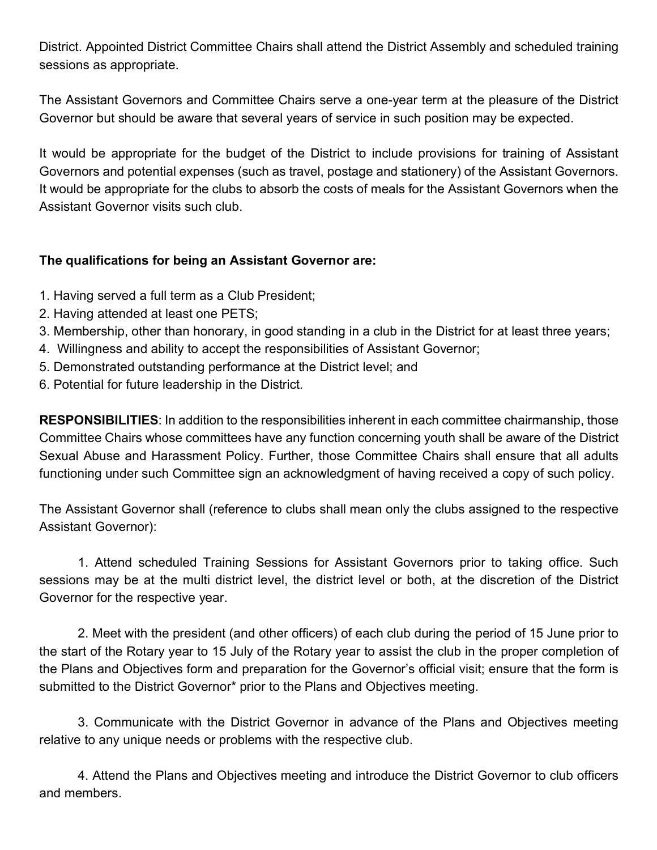District. Appointed District Committee Chairs shall attend the District Assembly and scheduled training sessions as appropriate.

The Assistant Governors and Committee Chairs serve a one-year term at the pleasure of the District Governor but should be aware that several years of service in such position may be expected.

It would be appropriate for the budget of the District to include provisions for training of Assistant Governors and potential expenses (such as travel, postage and stationery) of the Assistant Governors. It would be appropriate for the clubs to absorb the costs of meals for the Assistant Governors when the Assistant Governor visits such club.

## **The qualifications for being an Assistant Governor are:**

- 1. Having served a full term as a Club President;
- 2. Having attended at least one PETS;
- 3. Membership, other than honorary, in good standing in a club in the District for at least three years;
- 4. Willingness and ability to accept the responsibilities of Assistant Governor;
- 5. Demonstrated outstanding performance at the District level; and
- 6. Potential for future leadership in the District.

**RESPONSIBILITIES**: In addition to the responsibilities inherent in each committee chairmanship, those Committee Chairs whose committees have any function concerning youth shall be aware of the District Sexual Abuse and Harassment Policy. Further, those Committee Chairs shall ensure that all adults functioning under such Committee sign an acknowledgment of having received a copy of such policy.

The Assistant Governor shall (reference to clubs shall mean only the clubs assigned to the respective Assistant Governor):

1. Attend scheduled Training Sessions for Assistant Governors prior to taking office. Such sessions may be at the multi district level, the district level or both, at the discretion of the District Governor for the respective year.

2. Meet with the president (and other officers) of each club during the period of 15 June prior to the start of the Rotary year to 15 July of the Rotary year to assist the club in the proper completion of the Plans and Objectives form and preparation for the Governor's official visit; ensure that the form is submitted to the District Governor\* prior to the Plans and Objectives meeting.

3. Communicate with the District Governor in advance of the Plans and Objectives meeting relative to any unique needs or problems with the respective club.

4. Attend the Plans and Objectives meeting and introduce the District Governor to club officers and members.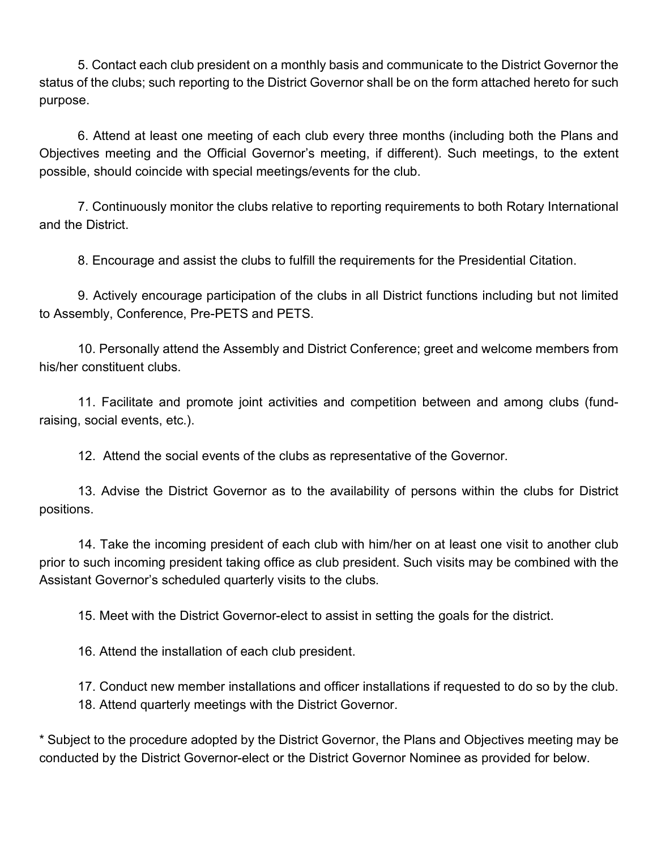5. Contact each club president on a monthly basis and communicate to the District Governor the status of the clubs; such reporting to the District Governor shall be on the form attached hereto for such purpose.

6. Attend at least one meeting of each club every three months (including both the Plans and Objectives meeting and the Official Governor's meeting, if different). Such meetings, to the extent possible, should coincide with special meetings/events for the club.

7. Continuously monitor the clubs relative to reporting requirements to both Rotary International and the District.

8. Encourage and assist the clubs to fulfill the requirements for the Presidential Citation.

9. Actively encourage participation of the clubs in all District functions including but not limited to Assembly, Conference, Pre-PETS and PETS.

10. Personally attend the Assembly and District Conference; greet and welcome members from his/her constituent clubs.

11. Facilitate and promote joint activities and competition between and among clubs (fundraising, social events, etc.).

12. Attend the social events of the clubs as representative of the Governor.

13. Advise the District Governor as to the availability of persons within the clubs for District positions.

14. Take the incoming president of each club with him/her on at least one visit to another club prior to such incoming president taking office as club president. Such visits may be combined with the Assistant Governor's scheduled quarterly visits to the clubs.

15. Meet with the District Governor-elect to assist in setting the goals for the district.

16. Attend the installation of each club president.

17. Conduct new member installations and officer installations if requested to do so by the club. 18. Attend quarterly meetings with the District Governor.

\* Subject to the procedure adopted by the District Governor, the Plans and Objectives meeting may be conducted by the District Governor-elect or the District Governor Nominee as provided for below.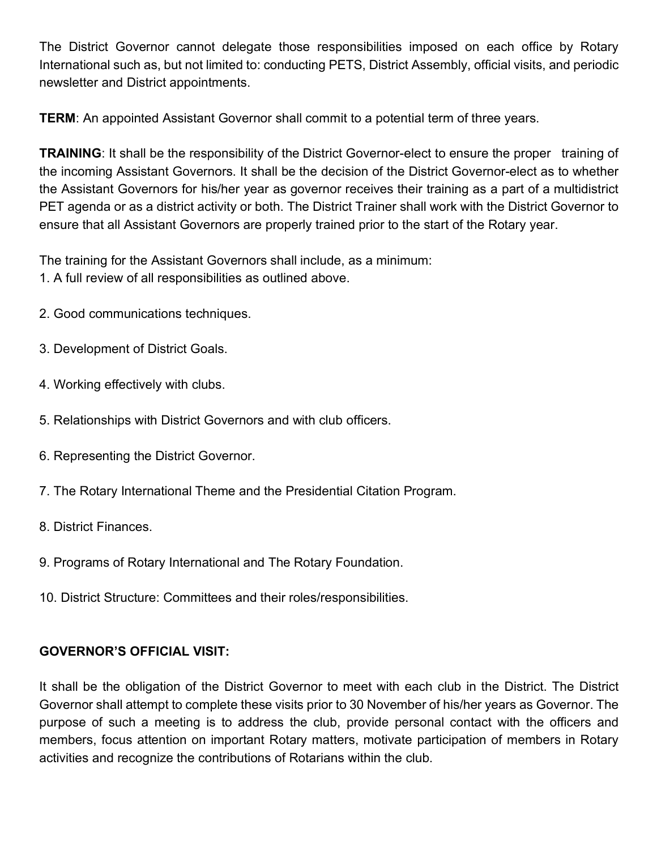The District Governor cannot delegate those responsibilities imposed on each office by Rotary International such as, but not limited to: conducting PETS, District Assembly, official visits, and periodic newsletter and District appointments.

**TERM**: An appointed Assistant Governor shall commit to a potential term of three years.

**TRAINING**: It shall be the responsibility of the District Governor-elect to ensure the proper training of the incoming Assistant Governors. It shall be the decision of the District Governor-elect as to whether the Assistant Governors for his/her year as governor receives their training as a part of a multidistrict PET agenda or as a district activity or both. The District Trainer shall work with the District Governor to ensure that all Assistant Governors are properly trained prior to the start of the Rotary year.

The training for the Assistant Governors shall include, as a minimum:

- 1. A full review of all responsibilities as outlined above.
- 2. Good communications techniques.
- 3. Development of District Goals.
- 4. Working effectively with clubs.
- 5. Relationships with District Governors and with club officers.
- 6. Representing the District Governor.
- 7. The Rotary International Theme and the Presidential Citation Program.
- 8. District Finances.
- 9. Programs of Rotary International and The Rotary Foundation.
- 10. District Structure: Committees and their roles/responsibilities.

# **GOVERNOR'S OFFICIAL VISIT:**

It shall be the obligation of the District Governor to meet with each club in the District. The District Governor shall attempt to complete these visits prior to 30 November of his/her years as Governor. The purpose of such a meeting is to address the club, provide personal contact with the officers and members, focus attention on important Rotary matters, motivate participation of members in Rotary activities and recognize the contributions of Rotarians within the club.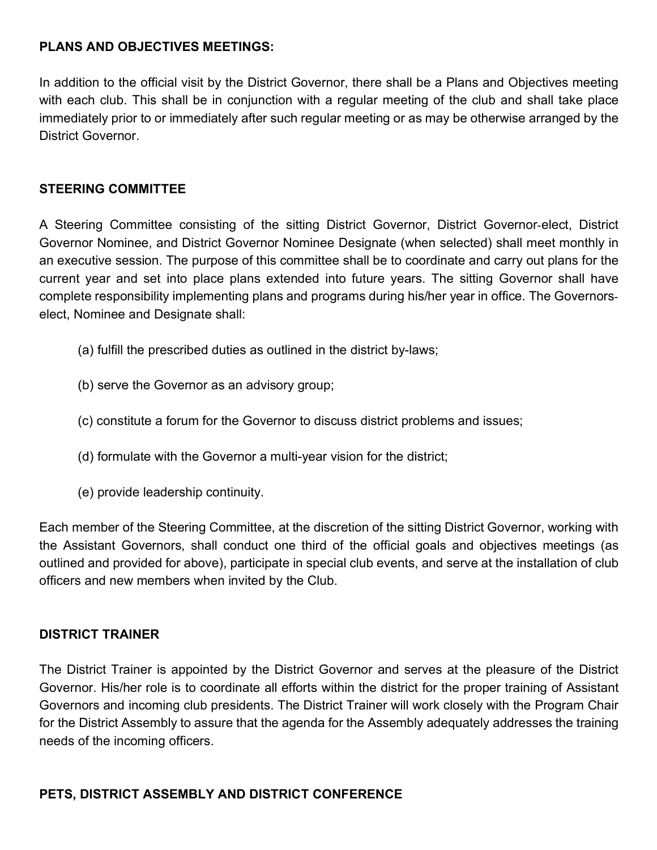#### **PLANS AND OBJECTIVES MEETINGS:**

In addition to the official visit by the District Governor, there shall be a Plans and Objectives meeting with each club. This shall be in conjunction with a regular meeting of the club and shall take place immediately prior to or immediately after such regular meeting or as may be otherwise arranged by the District Governor.

#### **STEERING COMMITTEE**

A Steering Committee consisting of the sitting District Governor, District Governor-elect, District Governor Nominee, and District Governor Nominee Designate (when selected) shall meet monthly in an executive session. The purpose of this committee shall be to coordinate and carry out plans for the current year and set into place plans extended into future years. The sitting Governor shall have complete responsibility implementing plans and programs during his/her year in office. The Governorselect, Nominee and Designate shall:

- (a) fulfill the prescribed duties as outlined in the district by-laws;
- (b) serve the Governor as an advisory group;
- (c) constitute a forum for the Governor to discuss district problems and issues;
- (d) formulate with the Governor a multi-year vision for the district;
- (e) provide leadership continuity.

Each member of the Steering Committee, at the discretion of the sitting District Governor, working with the Assistant Governors, shall conduct one third of the official goals and objectives meetings (as outlined and provided for above), participate in special club events, and serve at the installation of club officers and new members when invited by the Club.

#### **DISTRICT TRAINER**

The District Trainer is appointed by the District Governor and serves at the pleasure of the District Governor. His/her role is to coordinate all efforts within the district for the proper training of Assistant Governors and incoming club presidents. The District Trainer will work closely with the Program Chair for the District Assembly to assure that the agenda for the Assembly adequately addresses the training needs of the incoming officers.

#### **PETS, DISTRICT ASSEMBLY AND DISTRICT CONFERENCE**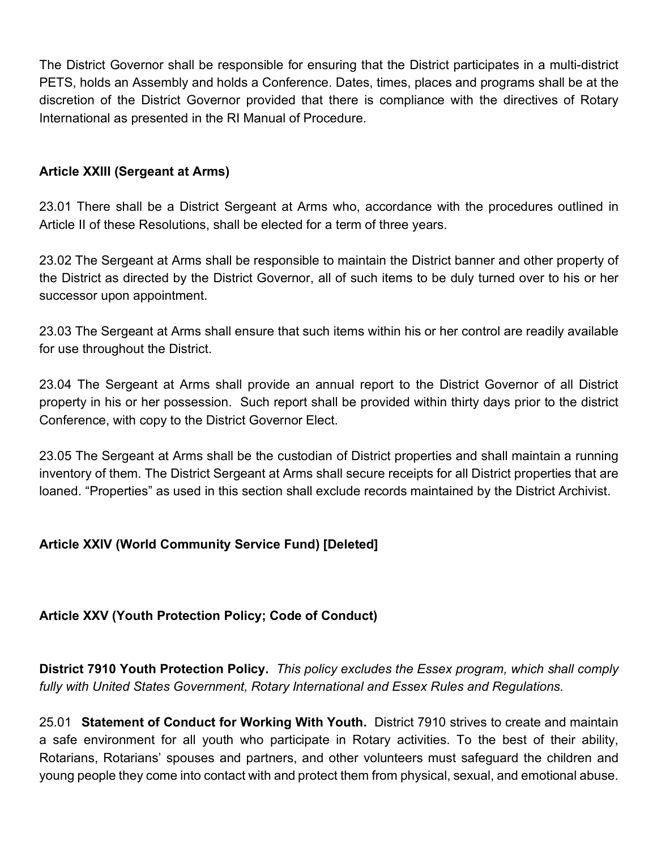The District Governor shall be responsible for ensuring that the District participates in a multi-district PETS, holds an Assembly and holds a Conference. Dates, times, places and programs shall be at the discretion of the District Governor provided that there is compliance with the directives of Rotary International as presented in the RI Manual of Procedure.

#### **Article XXIII (Sergeant at Arms)**

23.01 There shall be a District Sergeant at Arms who, accordance with the procedures outlined in Article II of these Resolutions, shall be elected for a term of three years.

23.02 The Sergeant at Arms shall be responsible to maintain the District banner and other property of the District as directed by the District Governor, all of such items to be duly turned over to his or her successor upon appointment.

23.03 The Sergeant at Arms shall ensure that such items within his or her control are readily available for use throughout the District.

23.04 The Sergeant at Arms shall provide an annual report to the District Governor of all District property in his or her possession. Such report shall be provided within thirty days prior to the district Conference, with copy to the District Governor Elect.

23.05 The Sergeant at Arms shall be the custodian of District properties and shall maintain a running inventory of them. The District Sergeant at Arms shall secure receipts for all District properties that are loaned. "Properties" as used in this section shall exclude records maintained by the District Archivist.

## **Article XXIV (World Community Service Fund) [Deleted]**

#### **Article XXV (Youth Protection Policy; Code of Conduct)**

**District 7910 Youth Protection Policy.** *This policy excludes the Essex program, which shall comply fully with United States Government, Rotary International and Essex Rules and Regulations.*

25.01 **Statement of Conduct for Working With Youth.** District 7910 strives to create and maintain a safe environment for all youth who participate in Rotary activities. To the best of their ability, Rotarians, Rotarians' spouses and partners, and other volunteers must safeguard the children and young people they come into contact with and protect them from physical, sexual, and emotional abuse.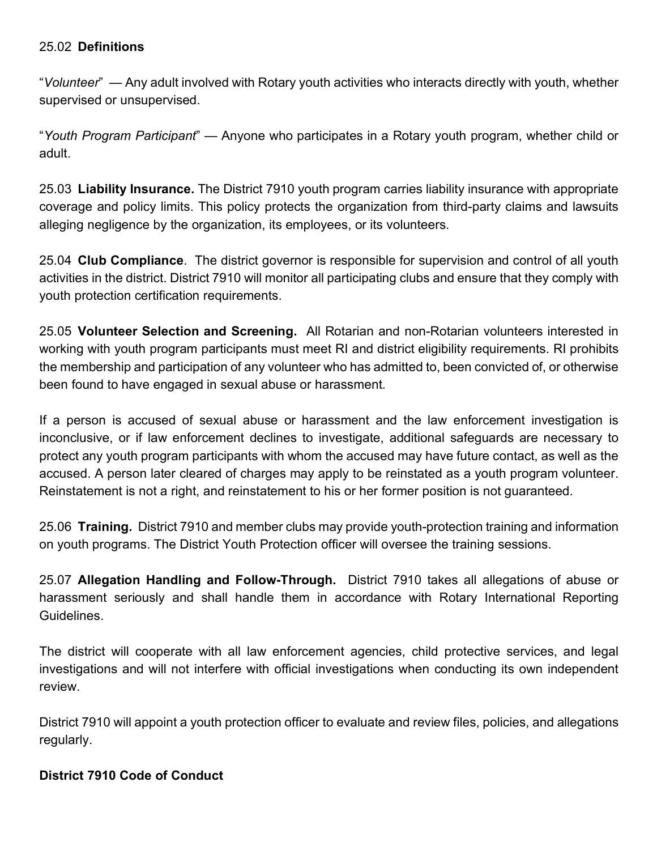#### 25.02 **Definitions**

"*Volunteer*" — Any adult involved with Rotary youth activities who interacts directly with youth, whether supervised or unsupervised.

"*Youth Program Participant*" — Anyone who participates in a Rotary youth program, whether child or adult.

25.03 **Liability Insurance.** The District 7910 youth program carries liability insurance with appropriate coverage and policy limits. This policy protects the organization from third-party claims and lawsuits alleging negligence by the organization, its employees, or its volunteers.

25.04 **Club Compliance**. The district governor is responsible for supervision and control of all youth activities in the district. District 7910 will monitor all participating clubs and ensure that they comply with youth protection certification requirements.

25.05 **Volunteer Selection and Screening.** All Rotarian and non-Rotarian volunteers interested in working with youth program participants must meet RI and district eligibility requirements. RI prohibits the membership and participation of any volunteer who has admitted to, been convicted of, or otherwise been found to have engaged in sexual abuse or harassment.

If a person is accused of sexual abuse or harassment and the law enforcement investigation is inconclusive, or if law enforcement declines to investigate, additional safeguards are necessary to protect any youth program participants with whom the accused may have future contact, as well as the accused. A person later cleared of charges may apply to be reinstated as a youth program volunteer. Reinstatement is not a right, and reinstatement to his or her former position is not guaranteed.

25.06 **Training.** District 7910 and member clubs may provide youth-protection training and information on youth programs. The District Youth Protection officer will oversee the training sessions.

25.07 **Allegation Handling and Follow-Through.** District 7910 takes all allegations of abuse or harassment seriously and shall handle them in accordance with Rotary International Reporting Guidelines.

The district will cooperate with all law enforcement agencies, child protective services, and legal investigations and will not interfere with official investigations when conducting its own independent review.

District 7910 will appoint a youth protection officer to evaluate and review files, policies, and allegations regularly.

#### **District 7910 Code of Conduct**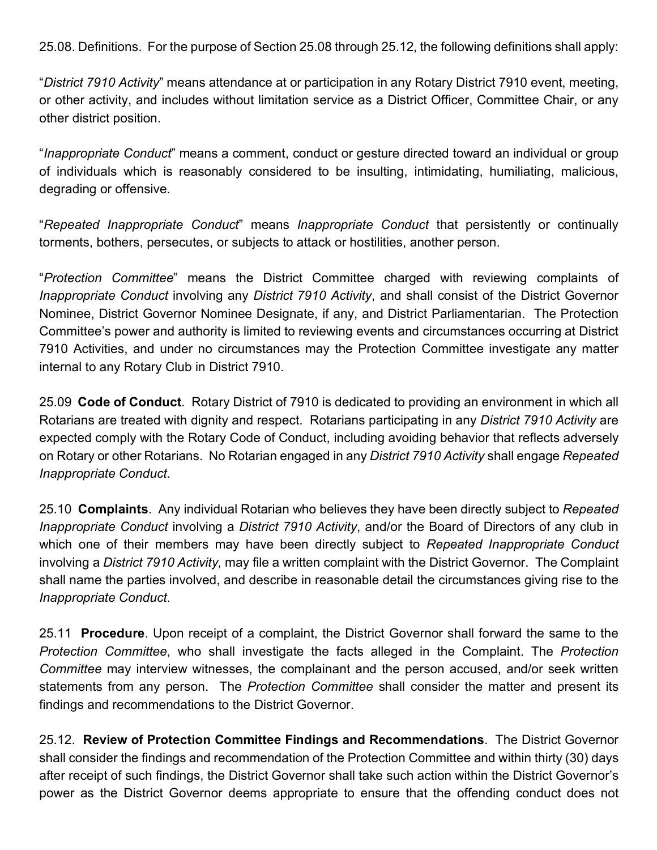25.08. Definitions. For the purpose of Section 25.08 through 25.12, the following definitions shall apply:

"*District 7910 Activity*" means attendance at or participation in any Rotary District 7910 event, meeting, or other activity, and includes without limitation service as a District Officer, Committee Chair, or any other district position.

"*Inappropriate Conduct*" means a comment, conduct or gesture directed toward an individual or group of individuals which is reasonably considered to be insulting, intimidating, humiliating, malicious, degrading or offensive.

"*Repeated Inappropriate Conduct*" means *Inappropriate Conduct* that persistently or continually torments, bothers, persecutes, or subjects to attack or hostilities, another person.

"*Protection Committee*" means the District Committee charged with reviewing complaints of *Inappropriate Conduct* involving any *District 7910 Activity*, and shall consist of the District Governor Nominee, District Governor Nominee Designate, if any, and District Parliamentarian. The Protection Committee's power and authority is limited to reviewing events and circumstances occurring at District 7910 Activities, and under no circumstances may the Protection Committee investigate any matter internal to any Rotary Club in District 7910.

25.09 **Code of Conduct**. Rotary District of 7910 is dedicated to providing an environment in which all Rotarians are treated with dignity and respect. Rotarians participating in any *District 7910 Activity* are expected comply with the Rotary Code of Conduct, including avoiding behavior that reflects adversely on Rotary or other Rotarians. No Rotarian engaged in any *District 7910 Activity* shall engage *Repeated Inappropriate Conduct*.

25.10 **Complaints**. Any individual Rotarian who believes they have been directly subject to *Repeated Inappropriate Conduct* involving a *District 7910 Activity*, and/or the Board of Directors of any club in which one of their members may have been directly subject to *Repeated Inappropriate Conduct* involving a *District 7910 Activity,* may file a written complaint with the District Governor. The Complaint shall name the parties involved, and describe in reasonable detail the circumstances giving rise to the *Inappropriate Conduct*.

25.11 **Procedure**. Upon receipt of a complaint, the District Governor shall forward the same to the *Protection Committee*, who shall investigate the facts alleged in the Complaint. The *Protection Committee* may interview witnesses, the complainant and the person accused, and/or seek written statements from any person. The *Protection Committee* shall consider the matter and present its findings and recommendations to the District Governor.

25.12. **Review of Protection Committee Findings and Recommendations**. The District Governor shall consider the findings and recommendation of the Protection Committee and within thirty (30) days after receipt of such findings, the District Governor shall take such action within the District Governor's power as the District Governor deems appropriate to ensure that the offending conduct does not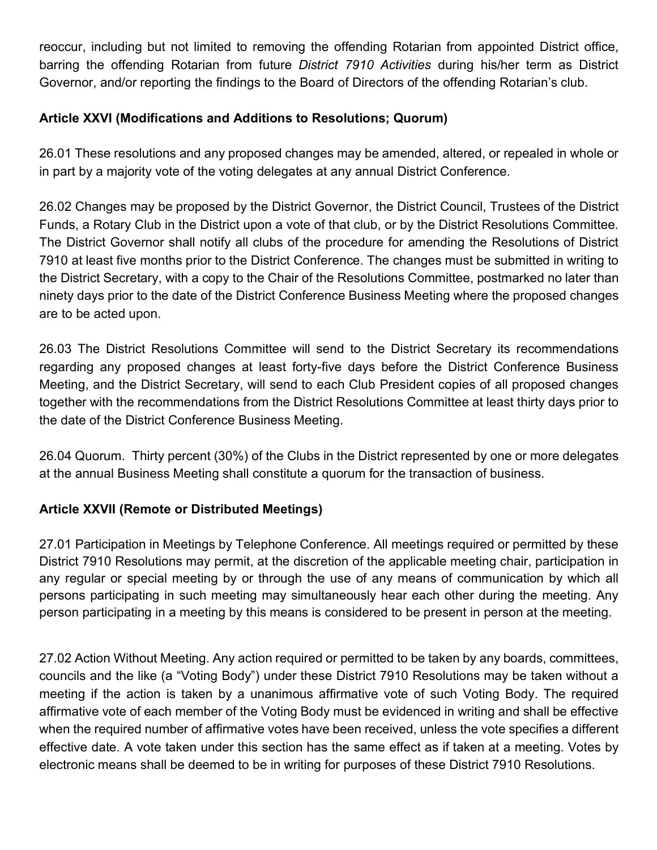reoccur, including but not limited to removing the offending Rotarian from appointed District office, barring the offending Rotarian from future *District 7910 Activities* during his/her term as District Governor, and/or reporting the findings to the Board of Directors of the offending Rotarian's club.

## **Article XXVI (Modifications and Additions to Resolutions; Quorum)**

26.01 These resolutions and any proposed changes may be amended, altered, or repealed in whole or in part by a majority vote of the voting delegates at any annual District Conference.

26.02 Changes may be proposed by the District Governor, the District Council, Trustees of the District Funds, a Rotary Club in the District upon a vote of that club, or by the District Resolutions Committee. The District Governor shall notify all clubs of the procedure for amending the Resolutions of District 7910 at least five months prior to the District Conference. The changes must be submitted in writing to the District Secretary, with a copy to the Chair of the Resolutions Committee, postmarked no later than ninety days prior to the date of the District Conference Business Meeting where the proposed changes are to be acted upon.

26.03 The District Resolutions Committee will send to the District Secretary its recommendations regarding any proposed changes at least forty-five days before the District Conference Business Meeting, and the District Secretary, will send to each Club President copies of all proposed changes together with the recommendations from the District Resolutions Committee at least thirty days prior to the date of the District Conference Business Meeting.

26.04 Quorum. Thirty percent (30%) of the Clubs in the District represented by one or more delegates at the annual Business Meeting shall constitute a quorum for the transaction of business.

## **Article XXVII (Remote or Distributed Meetings)**

27.01 Participation in Meetings by Telephone Conference. All meetings required or permitted by these District 7910 Resolutions may permit, at the discretion of the applicable meeting chair, participation in any regular or special meeting by or through the use of any means of communication by which all persons participating in such meeting may simultaneously hear each other during the meeting. Any person participating in a meeting by this means is considered to be present in person at the meeting.

27.02 Action Without Meeting. Any action required or permitted to be taken by any boards, committees, councils and the like (a "Voting Body") under these District 7910 Resolutions may be taken without a meeting if the action is taken by a unanimous affirmative vote of such Voting Body. The required affirmative vote of each member of the Voting Body must be evidenced in writing and shall be effective when the required number of affirmative votes have been received, unless the vote specifies a different effective date. A vote taken under this section has the same effect as if taken at a meeting. Votes by electronic means shall be deemed to be in writing for purposes of these District 7910 Resolutions.